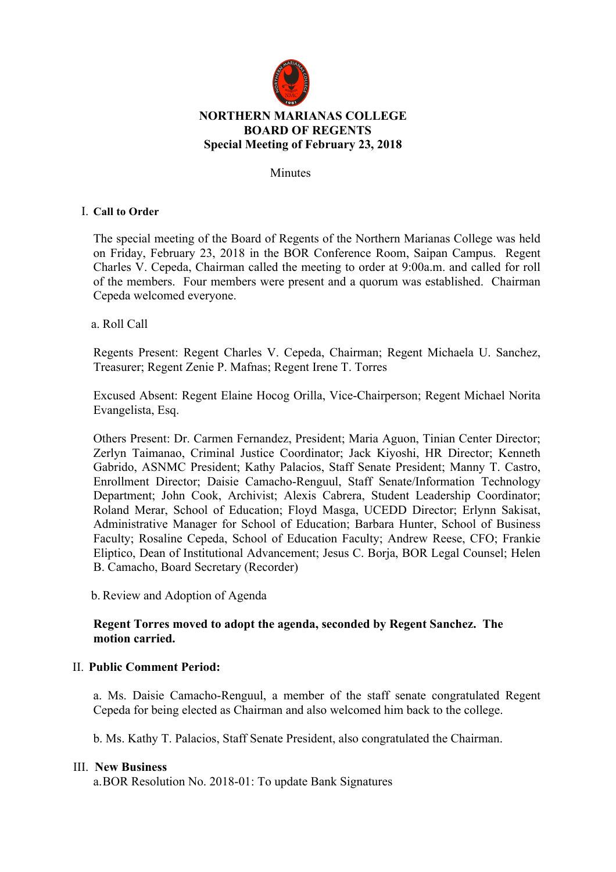

**Minutes** 

### I. **Call to Order**

The special meeting of the Board of Regents of the Northern Marianas College was held on Friday, February 23, 2018 in the BOR Conference Room, Saipan Campus. Regent Charles V. Cepeda, Chairman called the meeting to order at 9:00a.m. and called for roll of the members. Four members were present and a quorum was established. Chairman Cepeda welcomed everyone.

a. Roll Call

Regents Present: Regent Charles V. Cepeda, Chairman; Regent Michaela U. Sanchez, Treasurer; Regent Zenie P. Mafnas; Regent Irene T. Torres

Excused Absent: Regent Elaine Hocog Orilla, Vice-Chairperson; Regent Michael Norita Evangelista, Esq.

Others Present: Dr. Carmen Fernandez, President; Maria Aguon, Tinian Center Director; Zerlyn Taimanao, Criminal Justice Coordinator; Jack Kiyoshi, HR Director; Kenneth Gabrido, ASNMC President; Kathy Palacios, Staff Senate President; Manny T. Castro, Enrollment Director; Daisie Camacho-Renguul, Staff Senate/Information Technology Department; John Cook, Archivist; Alexis Cabrera, Student Leadership Coordinator; Roland Merar, School of Education; Floyd Masga, UCEDD Director; Erlynn Sakisat, Administrative Manager for School of Education; Barbara Hunter, School of Business Faculty; Rosaline Cepeda, School of Education Faculty; Andrew Reese, CFO; Frankie Eliptico, Dean of Institutional Advancement; Jesus C. Borja, BOR Legal Counsel; Helen B. Camacho, Board Secretary (Recorder)

b.Review and Adoption of Agenda

# **Regent Torres moved to adopt the agenda, seconded by Regent Sanchez. The motion carried.**

### II. **Public Comment Period:**

a. Ms. Daisie Camacho-Renguul, a member of the staff senate congratulated Regent Cepeda for being elected as Chairman and also welcomed him back to the college.

b. Ms. Kathy T. Palacios, Staff Senate President, also congratulated the Chairman.

#### III. **New Business**

a.BOR Resolution No. 2018-01: To update Bank Signatures